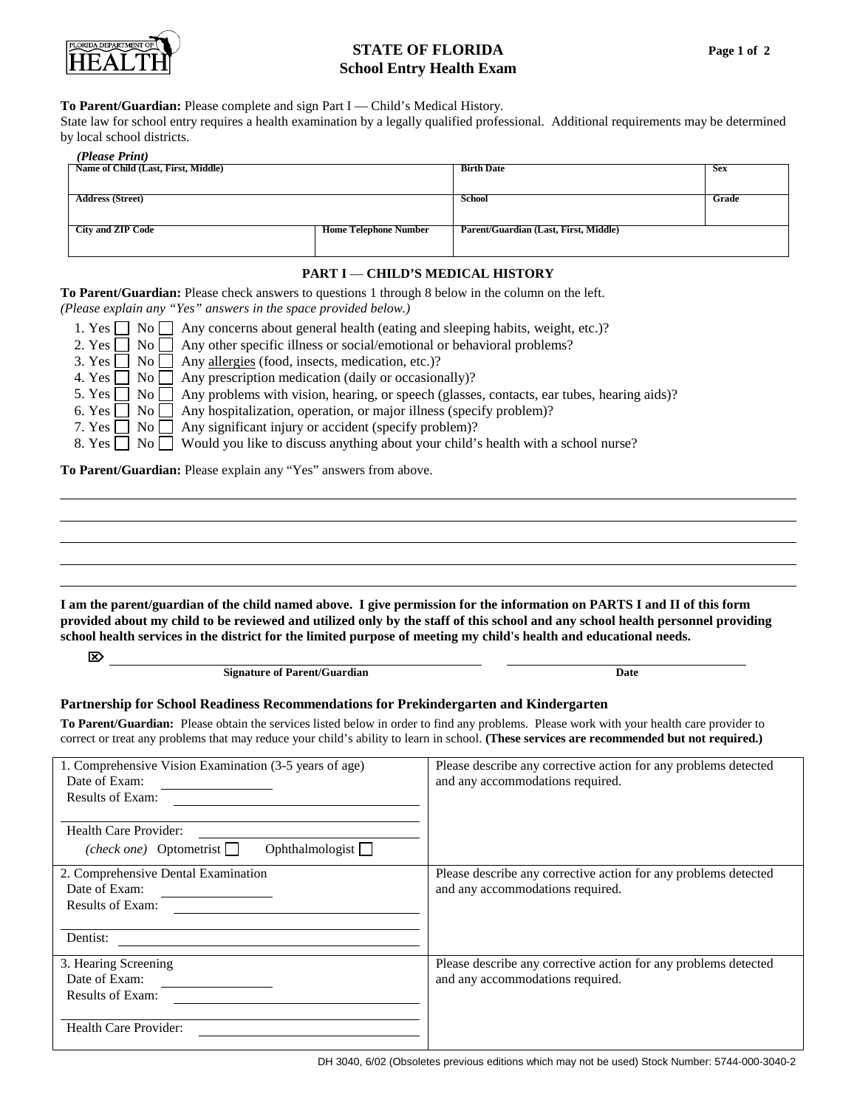

## **STATE OF FLORIDA School Entry Health Exam**

## **To Parent/Guardian:** Please complete and sign Part I — Child's Medical History.

State law for school entry requires a health examination by a legally qualified professional. Additional requirements may be determined by local school districts.

| (Please Print)                      |                              |                                       |            |
|-------------------------------------|------------------------------|---------------------------------------|------------|
| Name of Child (Last, First, Middle) |                              | <b>Birth Date</b>                     | <b>Sex</b> |
|                                     |                              |                                       |            |
| <b>Address (Street)</b>             |                              | School                                | Grade      |
|                                     |                              |                                       |            |
| <b>City and ZIP Code</b>            | <b>Home Telephone Number</b> | Parent/Guardian (Last, First, Middle) |            |
|                                     |                              |                                       |            |

## **PART I** — **CHILD'S MEDICAL HISTORY**

**To Parent/Guardian:** Please check answers to questions 1 through 8 below in the column on the left.

*(Please explain any "Yes" answers in the space provided below.)* 

| 1. Yes $\Box$ No $\Box$ Any concerns about general health (eating and sleeping habits, weight, etc.)?              |
|--------------------------------------------------------------------------------------------------------------------|
| 2. Yes $\Box$ No $\Box$ Any other specific illness or social/emotional or behavioral problems?                     |
| 3. Yes $\Box$ No $\Box$ Any <u>allergies</u> (food, insects, medication, etc.)?                                    |
| 4. Yes $\Box$ No $\Box$ Any prescription medication (daily or occasionally)?                                       |
| 5. Yes $\Box$ No $\Box$ Any problems with vision, hearing, or speech (glasses, contacts, ear tubes, hearing aids)? |
| 6. Yes $\Box$ No $\Box$ Any hospitalization, operation, or major illness (specify problem)?                        |
| 7. Yes $\Box$ No $\Box$ Any significant injury or accident (specify problem)?                                      |
| 8. Yes ■ No ■ Would you like to discuss anything about your child's health with a school nurse?                    |
|                                                                                                                    |

**To Parent/Guardian:** Please explain any "Yes" answers from above.

**I am the parent/guardian of the child named above. I give permission for the information on PARTS I and II of this form provided about my child to be reviewed and utilized only by the staff of this school and any school health personnel providing school health services in the district for the limited purpose of meeting my child's health and educational needs.** 

**Signature of Parent/Guardian Date**  Date **Date Date Date** 

## **Partnership for School Readiness Recommendations for Prekindergarten and Kindergarten**

**To Parent/Guardian:** Please obtain the services listed below in order to find any problems. Please work with your health care provider to correct or treat any problems that may reduce your child's ability to learn in school. **(These services are recommended but not required.)**

| 1. Comprehensive Vision Examination (3-5 years of age)<br>Date of Exam:<br><b>Results of Exam:</b> | Please describe any corrective action for any problems detected<br>and any accommodations required. |  |  |  |
|----------------------------------------------------------------------------------------------------|-----------------------------------------------------------------------------------------------------|--|--|--|
| Health Care Provider:<br>Ophthalmologist $\Box$<br>( <i>check one</i> ) Optometrist $\Box$         |                                                                                                     |  |  |  |
| 2. Comprehensive Dental Examination<br>Date of Exam:                                               | Please describe any corrective action for any problems detected<br>and any accommodations required. |  |  |  |
| <b>Results of Exam:</b>                                                                            |                                                                                                     |  |  |  |
| Dentist:                                                                                           |                                                                                                     |  |  |  |
| 3. Hearing Screening                                                                               | Please describe any corrective action for any problems detected                                     |  |  |  |
| Date of Exam:                                                                                      | and any accommodations required.                                                                    |  |  |  |
| <b>Results of Exam:</b>                                                                            |                                                                                                     |  |  |  |
| Health Care Provider:                                                                              |                                                                                                     |  |  |  |